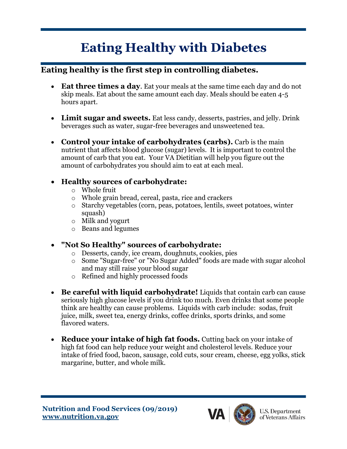# **Eating Healthy with Diabetes**

### **Eating healthy is the first step in controlling diabetes.**

- **Eat three times a day**. Eat your meals at the same time each day and do not skip meals. Eat about the same amount each day. Meals should be eaten 4-5 hours apart.
- **Limit sugar and sweets.** Eat less candy, desserts, pastries, and jelly. Drink beverages such as water, sugar-free beverages and unsweetened tea.
- **Control your intake of carbohydrates (carbs).** Carb is the main nutrient that affects blood glucose (sugar) levels. It is important to control the amount of carb that you eat. Your VA Dietitian will help you figure out the amount of carbohydrates you should aim to eat at each meal.

#### • **Healthy sources of carbohydrate:**

- o Whole fruit
- o Whole grain bread, cereal, pasta, rice and crackers
- o Starchy vegetables (corn, peas, potatoes, lentils, sweet potatoes, winter squash)
- o Milk and yogurt
- o Beans and legumes

#### • **"Not So Healthy" sources of carbohydrate:**

- o Desserts, candy, ice cream, doughnuts, cookies, pies
- o Some "Sugar-free" or "No Sugar Added" foods are made with sugar alcohol and may still raise your blood sugar
- o Refined and highly processed foods
- **Be careful with liquid carbohydrate!** Liquids that contain carb can cause seriously high glucose levels if you drink too much. Even drinks that some people think are healthy can cause problems. Liquids with carb include: sodas, fruit juice, milk, sweet tea, energy drinks, coffee drinks, sports drinks, and some flavored waters.
- **Reduce your intake of high fat foods.** Cutting back on your intake of high fat food can help reduce your weight and cholesterol levels. Reduce your intake of fried food, bacon, sausage, cold cuts, sour cream, cheese, egg yolks, stick margarine, butter, and whole milk.